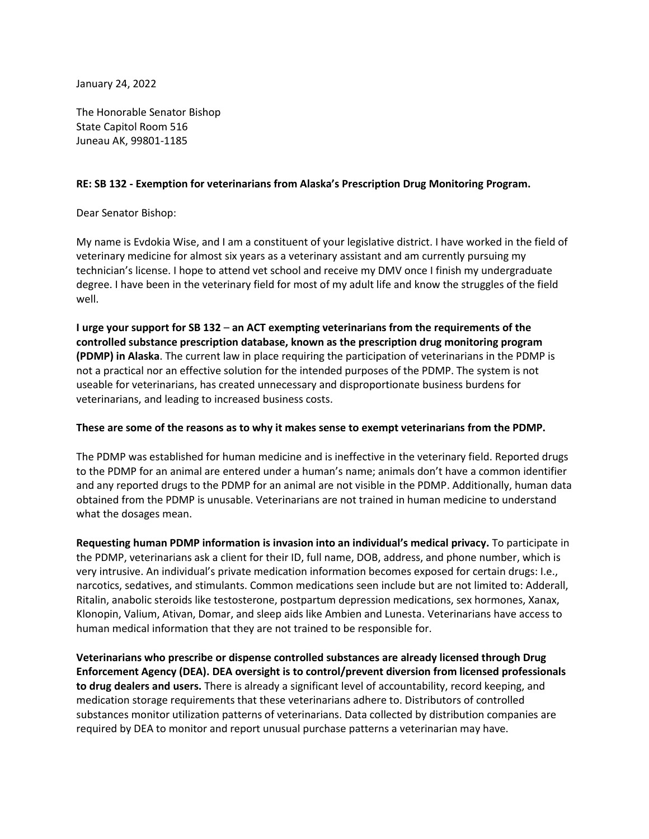January 24, 2022

The Honorable Senator Bishop State Capitol Room 516 Juneau AK, 99801-1185

## **RE: SB 132 - Exemption for veterinarians from Alaska's Prescription Drug Monitoring Program.**

Dear Senator Bishop:

My name is Evdokia Wise, and I am a constituent of your legislative district. I have worked in the field of veterinary medicine for almost six years as a veterinary assistant and am currently pursuing my technician's license. I hope to attend vet school and receive my DMV once I finish my undergraduate degree. I have been in the veterinary field for most of my adult life and know the struggles of the field well.

**I urge your support for SB 132** – **an ACT exempting veterinarians from the requirements of the controlled substance prescription database, known as the prescription drug monitoring program (PDMP) in Alaska**. The current law in place requiring the participation of veterinarians in the PDMP is not a practical nor an effective solution for the intended purposes of the PDMP. The system is not useable for veterinarians, has created unnecessary and disproportionate business burdens for veterinarians, and leading to increased business costs.

## **These are some of the reasons as to why it makes sense to exempt veterinarians from the PDMP.**

The PDMP was established for human medicine and is ineffective in the veterinary field. Reported drugs to the PDMP for an animal are entered under a human's name; animals don't have a common identifier and any reported drugs to the PDMP for an animal are not visible in the PDMP. Additionally, human data obtained from the PDMP is unusable. Veterinarians are not trained in human medicine to understand what the dosages mean.

**Requesting human PDMP information is invasion into an individual's medical privacy.** To participate in the PDMP, veterinarians ask a client for their ID, full name, DOB, address, and phone number, which is very intrusive. An individual's private medication information becomes exposed for certain drugs: I.e., narcotics, sedatives, and stimulants. Common medications seen include but are not limited to: Adderall, Ritalin, anabolic steroids like testosterone, postpartum depression medications, sex hormones, Xanax, Klonopin, Valium, Ativan, Domar, and sleep aids like Ambien and Lunesta. Veterinarians have access to human medical information that they are not trained to be responsible for.

**Veterinarians who prescribe or dispense controlled substances are already licensed through Drug Enforcement Agency (DEA). DEA oversight is to control/prevent diversion from licensed professionals to drug dealers and users.** There is already a significant level of accountability, record keeping, and medication storage requirements that these veterinarians adhere to. Distributors of controlled substances monitor utilization patterns of veterinarians. Data collected by distribution companies are required by DEA to monitor and report unusual purchase patterns a veterinarian may have.